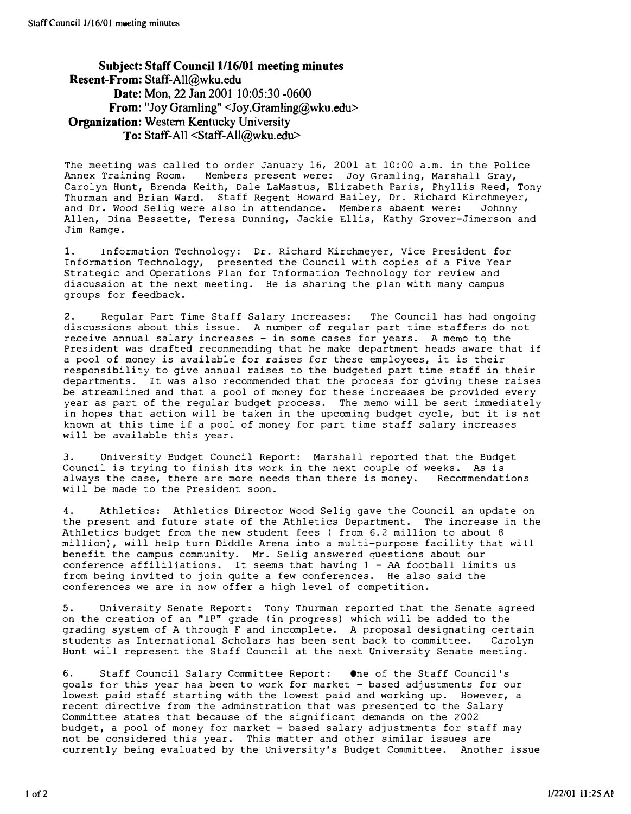### Subject: Staff Council 1116/01 meeting minutes Resent-From: Staff-All@wku.edu Date: Mon, 22 Jan 2001 10:05:30 -0600 **From:** "Joy Gramling" <Joy.Gramling@wku.edu> Organization: Western Kentucky University To: Staff-All <Staff-All@wku.edu>

The meeting was called to order January 16, 2001 at 10:00 a.m. in the Police Annex Training Room. Members present were: Joy Gramling, Marshall Gray, Carolyn Hunt, Brenda Keith, Dale LaMastus, Elizabeth Paris, Phyllis Reed, Tony Thurman and Brian Ward. Staff Regent Howard Bailey, Dr. Richard Kirchmeyer, and Dr. Wood Selig were also in attendance. Members absent were: Johnny Allen, Dina Bessette, Teresa Dunning, Jackie Ellis, Kathy Grover-Jimerson and Jim Ramge.

1. Information Technology: Dr. Richard Kirchmeyer, Vice President for Information Technology, presented the Council with copies of a Five Year Strategic and Operations Plan for Information Technology for review and discussion at the next meeting. He is sharing the plan with many campus groups for feedback.

2. Regular Part Time Staff Salary Increases: The Council has had ongoing discussions about this issue. A number of regular part time staffers do not receive annual salary increases - in some cases for years. A memo to the President was drafted recommending that he make department heads aware that if a pool of money is available for raises for these employees, it is their responsibility to give annual raises to the budgeted part time staff in their departments. It was also recommended that the process for giving these raises be streamlined and that a pool of money for these increases be provided every year as part of the regular budget process. The memo will be sent immediately in hopes that action will be taken in the upcoming budget cycle, but it is not known at this time if a pool of money for part time staff salary increases will be available this year.

3. University Budget Council Report: Marshall reported that the Budget Council is trying to finish its work in the next couple of weeks. As is always the case, there are more needs than there is money. Recommendations will be made to the President soon.

4. Athletics: Athletics Director Wood Selig gave the Council an update on the present and future state of the Athletics Department. The increase in the Athletics budget from the new student fees ( from 6.2 million to about 8 million), will help turn Diddle Arena into a multi-purpose facility that will benefit the campus community. Mr. Selig answered questions about our conference affililiations. It seems that having 1 - AA football limits us from being invited to join quite a few conferences. He also said the conferences we are in now offer a high level of competition.

5. University Senate Report: Tony Thurman reported that the Senate agreed on the creation of an "IP" grade (in progress) which will be added to the grading system of A through F and incomplete. A proposal designating certain students as International Scholars has been sent back to committee. Carolyn Hunt will represent the Staff Council at the next University Senate meeting.

6. Staff Council Salary Committee Report: One of the Staff Council's goals for this year has been to work for market - based adjustments for our lowest paid staff starting with the lowest paid and working up. However, a recent directive from the adminstration that was presented to the Salary Committee states that because of the significant demands on the Z002 budget, a pool of money for market - based salary adjustments for staff may not be considered this year. This matter and other similar issues are currently being evaluated by the University's Budget Committee. Another issue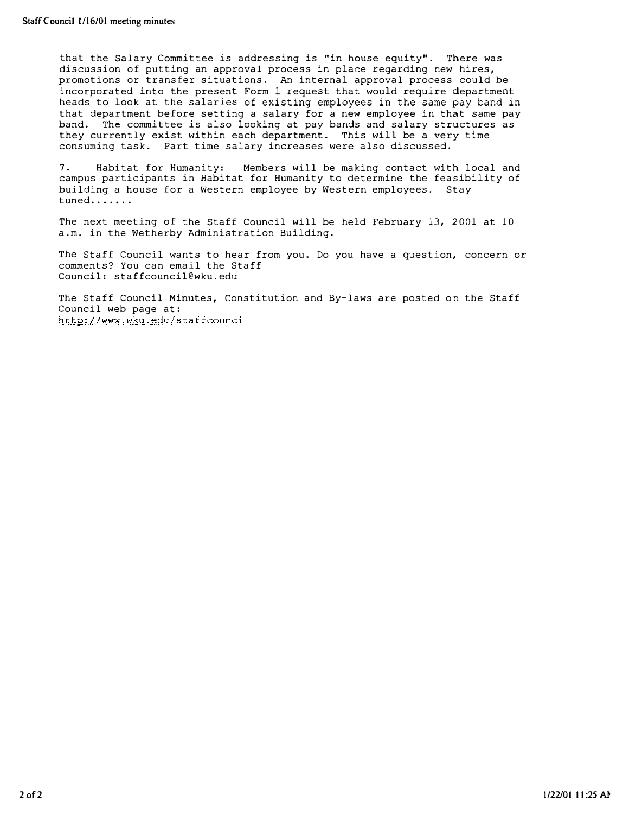that the Salary Committee is addressing is "in house equity". There was discussion of putting an approval process in place regarding new hires, promotions or transfer situations. An internal approval process could be incorporated into the present Form I request that would require department heads to look at the salaries of existing employees in the same pay band in that department before setting a salary for a new employee in that same pay band. The committee is also looking at pay bands and salary structures as they currently exist within each department. This will be a very time consuming task. Part time salary increases were also discussed.

7. Habitat for Humanity: Members will be making contact with local and campus participants in Habitat for Humanity to determine the feasibility of building a house for a Western employee by Western employees. Stay tuned.......

The next meeting of the Staff Council will be held February 13, 2001 at 10 a.m. in the Wetherby Administration Building.

The Staff Council wants to hear from you. Do you have a question, concern or comments? You can email the Staff Council: staffcouncil@wku.edu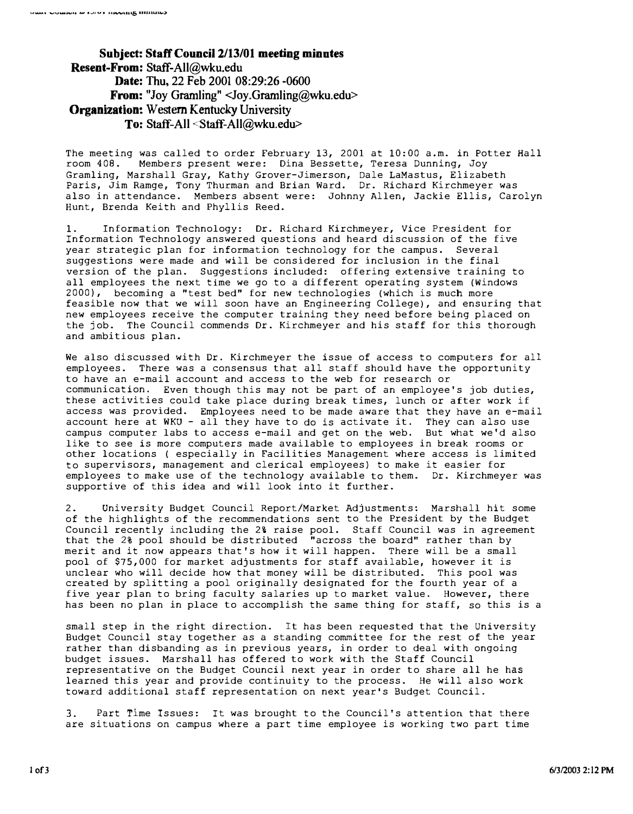Subject: Staff Council 2/13/01 meeting minntes Resent-From: Staff-All@wku.edu Date: Thu, 22 Feb 2001 08:29:26 -0600 From: "Joy Gramling" <Joy.Gramling@wku.edu> Organization: Western Kentucky University To: Staff-All <Staff-All@wku.edu>

The meeting was called to order February 13, 2001 at 10:00 a.m. in Potter Hall room 408. Members present were: Dina Bessette, Teresa Dunning, Joy Gramling, Marshall Gray, Kathy Grover-Jimerson, Dale LaMastus, Elizabeth Paris, Jim Ramge, Tony Thurman and Brian Ward. Dr. Richard Kirchmeyer was also in attendance. Members absent were: Johnny Allen, Jackie Ellis, Carolyn Hunt, Brenda Keith and Phyllis Reed.

1. Information Technology: Dr. Richard Kirchmeyer, Vice President for Information Technology answered questions and heard discussion of the five year strategic plan for information technology for the campus. Several suggestions were made and will be considered for inclusion in the final version of the plan. Suggestions included: offering extensive training to all employees the next time we go to a different operating system (windows 2000), becoming a "test bed" for new technologies (which is much more feasible now that we will soon have an Engineering College), and ensuring that new employees receive the computer training they need before being placed on the job. The Council commends Dr. Kirchmeyer and his staff for this thorough and ambitious plan.

We also discussed with Dr. Kirchmeyer the issue of access to computers for all employees. There was a consensus that all staff should have the opportunity to have an e-mail account and access to the web for research or communication. Even though this may not be part of an employee's job duties, these activities could take place during break times, lunch or after work if access was provided. Employees need to be made aware that they have an e-mail account here at WKU - all they have to do is activate it. They can also use campus computer labs to access e-mail and get on the web. But what we'd also like to see is more computers made available to employees in break rooms or other locations ( especially in Facilities Management where access is limited to supervisors, management and clerical employees) to make it easier for employees to make use of the technology available to them. Dr. Kirchmeyer was supportive of this idea and will look into it further.

2. University Budget Council Report/Market Adjustments: Marshall hit some of the highlights of the recommendations sent to the President by the Budget Council recently including the 2% raise pool. Staff Council was in agreement that the 2% pool should be distributed "across the board" rather than by merit and it now appears that's how it will happen. There will be a small pool of \$75,000 for market adjustments for staff available, however it is unclear who will decide how that money will be distributed. This pool was created by splitting a pool originally designated for the fourth year of a five year plan to bring faculty salaries up to market value. However, there has been no plan in place to accomplish the same thing for staff, so this is a

small step in the right direction. It has been requested that the University Budget Council stay together as a standing committee for the rest of the year rather than disbanding as in previous years, in order to deal with ongoing budget issues. Marshall has offered to work with the Staff Council representative on the Budget Council next year in order to share all he has learned this year and provide continuity to the process. He will also work toward additional staff representation on next year's Budget Council.

3. Part Time Issues: It was brought to the Council's attention that there are situations on campus where a part time employee is working two part time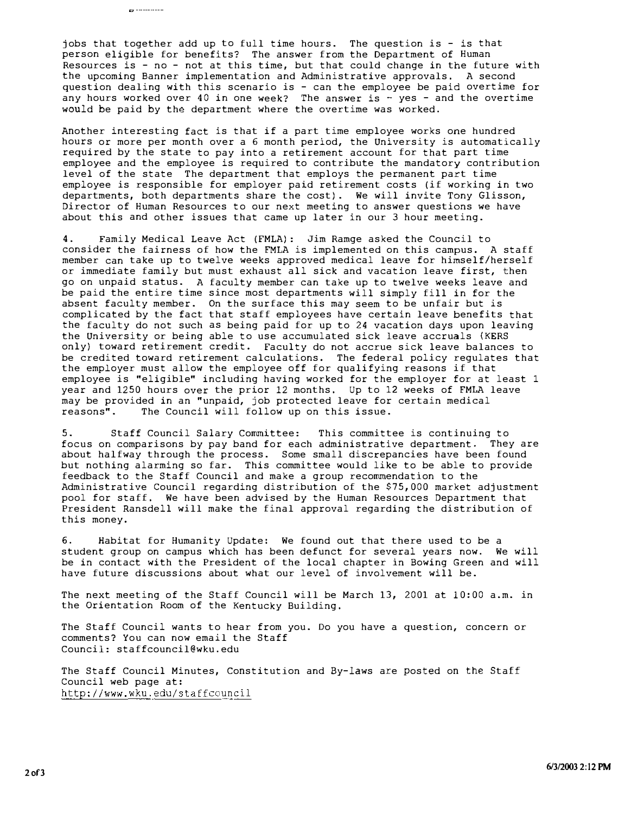jobs that together add up to full time hours. The question is - is that person eligible for benefits? The answer from the Department of Human Resources is - no - not at this time, but that could change in the future with the upcoming Banner implementation and Administrative approvals. A second question dealing with this scenario is - can the employee be paid overtime for any hours worked over 40 in one week? The answer is - yes - and the overtime would be paid by the department where the overtime was worked.

 $\sigma$  ----------

Another interesting fact is that if a part time employee works one hundred hours or more per month over a 6 month period, the University is automatically required by the state to pay into a retirement account for that part time employee and the employee is required to contribute the mandatory contribution level of the state The department that employs the permanent part time employee is responsible for employer paid retirement costs (if working in two departments, both departments share the cost). We will invite Tony Glisson, Director of Human Resources to our next meeting to answer questions we have about this and other issues that came up later in our 3 hour meeting.

4. Family Medical Leave Act (FMLA): Jim Ramge asked the Council to consider the fairness of how the FMLA is implemented on this campus. A staff member can take up to twelve weeks approved medical leave for himself/herself or immediate family but must exhaust all sick and vacation leave first, then go on unpaid status. A faculty member can take up to twelve weeks leave and be paid the entire time since most departments will simply fill in for the absent faculty member. On the surface this may seem to be unfair but is complicated by the fact that staff employees have certain leave benefits that the faculty do not such as being paid for up to 24 vacation days upon leaving the University or being able to use accumulated sick leave accruals (KERS only) toward retirement credit. Faculty do not accrue sick leave balances to be credited toward retirement calculations. The federal policy regulates that the employer must allow the employee off for qualifying reasons if that employee is "eligible" including having worked for the employer for at least 1 year and 1250 hours over the prior 12 months. Up to 12 weeks of FMLA leave may be provided in an "unpaid, job protected leave for certain medical reasons". The Council will follow up on this issue. The Council will follow up on this issue.

5. Staff Council Salary Committee: This committee is continuing to focus on comparisons by pay band for each administrative department, They are about halfway through the process. Some small discrepancies have been found but nothing alarming so far. This committee would like to be able to provide feedback to the Staff Council and make a group recommendation to the Administrative Council regarding distribution of the \$75,000 market adjustment pool for staff. We have been advised by the Human Resources Department that President Ransdell will make the final approval regarding the distribution of this money.

6. Habitat for Humanity Update: We found out that there used to be a student group on campus which has been defunct for several years now. We will be in contact with the President of the local chapter in Bowing Green and will have future discussions about what our level of involvement will be.

The next meeting of the Staff Council will be March 13, 2001 at 10:00 a.m. in the Orientation Room of the Kentucky Building.

The Staff Council wants to hear from you. Do you have a question, concern or comments? You can now email the Staff Council: staffcouncil@wku.edu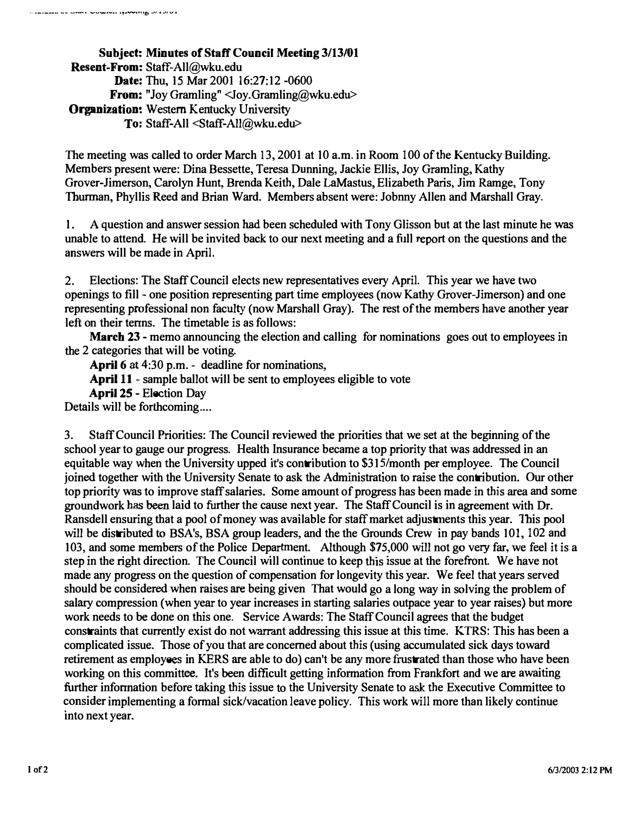Subject: Minutes of Staff Council Meeting 3/13/01 Resent-From: Staff-All@wku.edu Date: Thu, 15 Mar 2001 16:27:12 -0600 **From:** "Joy Gramling"  $\langle$ Joy.Gramling@wku.edu> Organization: Western Kentucky University To: Staff-All <Staff-All@wku.edu>

The meeting was called to order March 13, 2001 at 10 a.m. in Room 100 of the Kentucky Building. Members present were: Dina Bessette, Teresa Dunning, Jackie Ellis, Joy Gramling, Kathy Grover-Jimerson, Carolyn Hunt, Brenda Keith, Dale LaMastus, Elizabeth Paris, Jim Ramge, Tony Thurman, Phyllis Reed and Brian Ward. Members absent were: Jobnny Allen and Marshall Gray.

1. A question and answer session had been scheduled with Tony Glisson but at the last minute he was unable to attend. He will be invited back to our next meeting and a full report on the questions and the answers will be made in April.

2. Elections: The Staff Council elects new representatives every April. This year we have two openings to fill- one position representing part time employees (now Kathy Grover-Jimerson) and one representing professional non faculty (now Marshall Gray). The rest of the members have another year left on their terms. The timetable is as follows:

March 23 - memo announcing the election and calling for nominations goes out to employees in the 2 categories that will be voting.

April 6 at 4:30 p.m. - deadline for nominations,

April 11 - sample ballot will be sent to employees eligible to vote

April 25 - Election Day

Details will be forthcoming....

3. Staff Council Priorities: The Council reviewed the priorities that we set at the beginning of the school year to gauge our progress. Health Insurance became a top priority that was addressed in an equitable way when the University upped it's contribution to \$31S/month per employee. The Council joined together with the University Senate to ask the Administration to raise the contribution. Our other top priority was to improve staff salaries. Some amount of progress has been made in this area and some groundwork has been laid to further the cause next year. The Staff Council is in agreement with Dr. Ransdell ensuring that a pool of money was available for staff market adjustments this year. This pool will be distributed to BSA's, BSA group leaders, and the the Grounds Crew in pay bands 101, 102 and 103, and some members of the Police Department. Although \$75,000 will not go very far. we feel it is a step in the right direction. The Council will continue to keep this issue at the forefront. We have not made any progress on the question of compensation for longevity this year. We feel that years served should be considered when raises are being given That would go a long way in solving the problem of salary compression (when year to year increases in starting salaries outpace year to year raises) but more work needs to be done on this one. Service Awards: The Staff Council agrees that the budget constraints that currently exist do not warrant addressing this issue at this time. KTRS: This has been a complicated issue. Those of you that are concerned about this (using accumulated sick days toward retirement as employees in KERS are able to do) can't be any more frustrated than those who have been working on this committee. It's been difficult getting information from Frankfort and we are awaiting further information before taking this issue to the University Senate to ask the Executive Committee to consider implementing a formal sick/vacation leave policy. This work will more than likely continue into next year.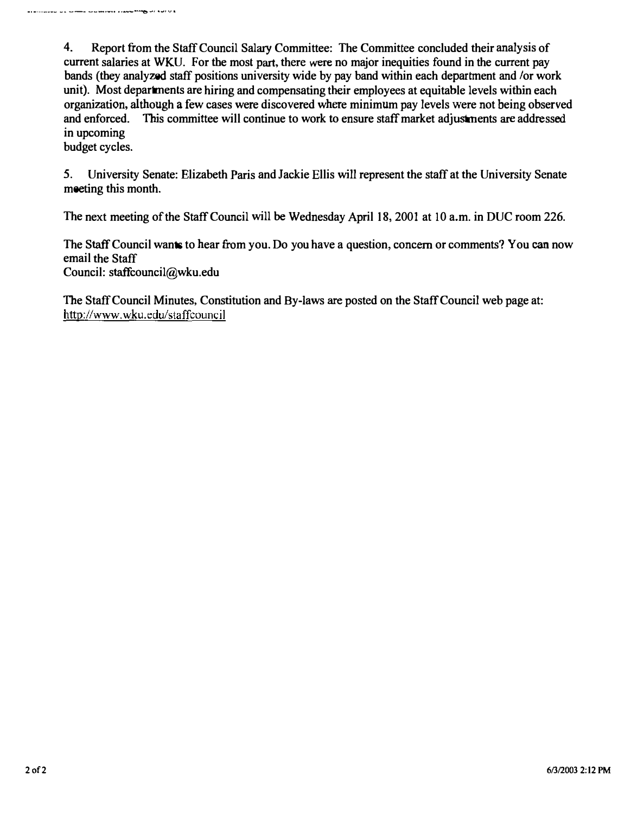4. Report from the Staff Council Salary Committee: The Committee concluded their analysis of current salaries at WKU. For the most part, there were no major inequities found in the current pay bands (they analyzed staff positions university wide by pay band within each department and /or work unit). Most departments are hiring and compensating their employees at equitable levels within each organization, although a few cases were discovered where minimum pay levels were not being observed and enforced. This committee will continue to work to ensure staff market adjustments are addressed in upcoming

budget cycles.

5. University Senate: Elizabeth Paris and Jackie Ellis will represent the staff at the University Senate meeting this month.

The next meeting of the Staff Council will be Wednesday April 18, 2001 at 10 a.m. in DUC room 226.

The Staff Council wants to hear from you. Do you have a question, concern or comments? You can now email the Staff Council: staffcouncil@wku.edu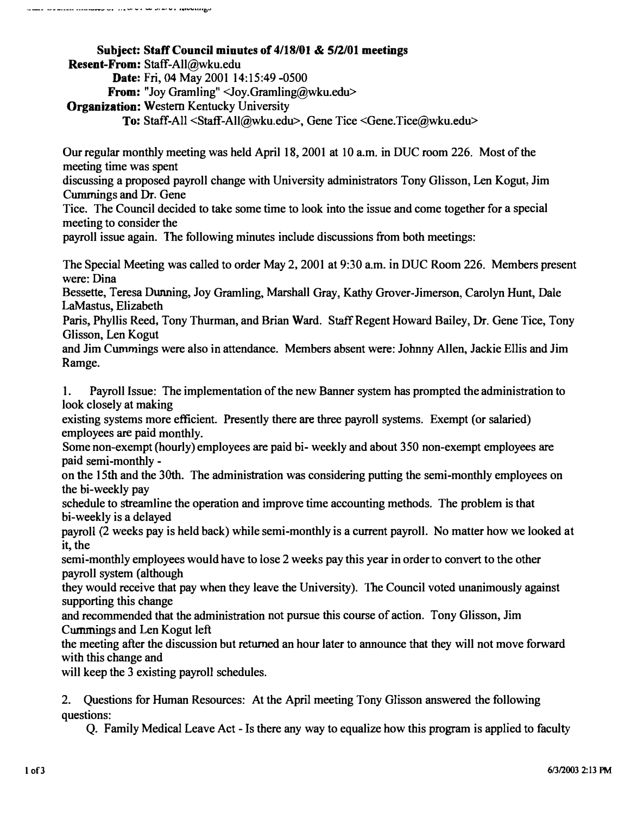Subject: Staff Council minutes of 4/18/01 & 5/2/01 meetings Resent-From: Staff-All@wku.edu Date: Fri, 04 May 2001 14:15:49 -0500 From: "Joy Gramling" <Joy.Gramling@wku.edu> Organization: Western Kentucky University To: Staff-All <Staff-AlI@wku.edu>, Gene Tice <Gene.Tice@wku.edu>

Our regular monthly meeting was held April 18,2001 at 10 a.m. in DUC room 226. Most of the meeting time was spent

discussing a proposed payroll change with University administrators Tony Glisson, Len Kogut, Jim Cummings and Dr. Gene

Tice. The Council decided to take some time to look into the issue and come together for a special meeting to consider the

payroll issue again. The following minutes include discussions from both meetings:

The Special Meeting was called to order May 2, 2001 at 9:30 a.m. in DUC Room 226. Members present were: Dina

Bessette, Teresa Dunning, Joy Gramling, Marshall Gray, Kathy Grover-Jimerson, Carolyn Hunt, Dale LaMastus, Elizabeth

Paris, Phyllis Reed, Tony Thurman, and Brian Ward. Staff Regent Howard Bailey, Dr. Gene Tice, Tony Glisson, Len Kogut

and Jim Cummings were also in attendance. Members absent were: Johnny Allen, Jackie Ellis and Jim Ramge.

1. Payroll Issue: The implementation of the new Banner system has prompted the administration to look closely at making

existing systems more efficient. Presently there are three payroll systems. Exempt (or salaried) employees are paid monthly.

Some non-exempt (hourly) employees are paid bi- weekly and about 350 non-exempt employees are paid semi-monthly -

on the 15th and the 30th. The administration was considering putting the semi-monthly employees on the bi-weekly pay

schedule to streamline the operation and improve time accounting methods. The problem is that bi-weekly is a delayed

payroll (2 weeks pay is held back) while semi-monthly is a current payroll. No matter how we looked at it, the

semi-monthly employees would have to lose 2 weeks pay this year in order to convert to the other payroll system (although

they would receive that pay when they leave the University). The Council voted unanimously against supporting this change

and recommended that the administration not pursue this course of action. Tony Glisson, Jim Curmnings and Len Kogut left

the meeting after the discussion but returned an hour later to announce that they will not move forward with this change and

will keep the 3 existing payroll schedules.

2\_ Questions for Human Resources: At the April meeting Tony G1isson answered the following questions:

Q. Family Medical Leave Act - Is there any way to equalize how this program is applied to faculty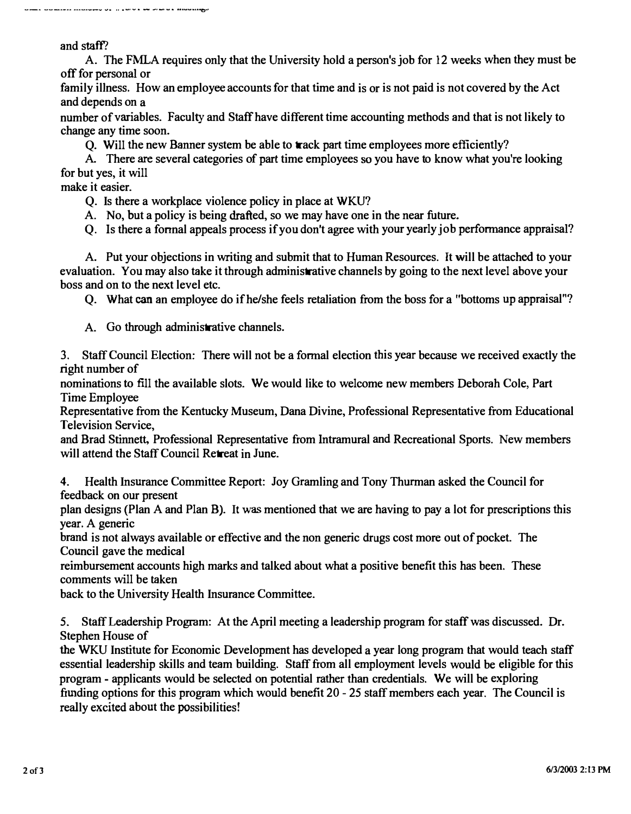and staff'?

\_\_\_ \_\_\_\_\_\_\_ \_\_\_\_\_\_\_\_ v\_ .. \_\_ • \_\_\_\_ • \_\_\_ ••• \_\_ ••• ..,..

A. The FMLA requires only that the University hold a person's job for 12 weeks when they must be off for personal or

family illness. How an employee accounts for that time and is or is not paid is not covered by the Act and depends on a

number of variables. Faculty and Staff have different time accounting methods and that is not likely to change any time soon.

Q. Will the new Banner system be able to track part time employees more efficiently?

A. There are several categories of part time employees so you have to know what you're looking for but yes, it will

make it easier.

Q. Is there a workplace violence policy in place at WKU?

A. No, hut a policy is being drafted, so we may have one in the near future.

Q. Is there a fonnal appeals process if you don't agree with your yearly job perfonnance appraisal?

A. Put your objections in writing and submit that to Human Resources. It will be attached to your evaluation. You may also take it through administrative channels by going to the next level above your boss and on to the next level etc.

Q. What can an employee do if he/she feels retaliation from the boss for a "bottoms up appraisal"?

A. Go through administrative channels.

3. Staff Council Election: There will not be a fonnal election this year because we received exactly the right number of

nominations to fill the available slots. We would like to welcome new members Deborah Cole, Part Time Employee

Representative from the Kentucky Museum, Dana Divine, Professional Representative from Educational Television Service,

and Brad Stinnett, Professional Representative from Intramural and Recreational Sports. New members will attend the Staff Council Retreat in June.

4. Health Insurance Committee Report: Joy Gramling and Tony Thurman asked the Council for feedback on our present

plan designs (Plan A and Plan B). It was mentioned that we are having to pay a lot for prescriptions this year. A generic

brand is not always available or effective and the non generic drugs cost more out of pocket. The Council gave the medical

reimbursement accounts high marks and talked about what a positive benefit this has been. These comments will be taken

back to the University Health Insurance Committee.

5. Staff Leadership Program: At the April meeting a leadership program for staff was discussed. Dr. Stephen House of

the WKU Institute for Economic Development has developed a year long program that would teach staff essential leadership skills and team building. Staff from all employment levels would be eligible for this program - applicants would be selected on potential rather than credentials. We will be exploring funding options for this program which would benefit 20 - 25 staff members each year. The Council is really excited about the possibilities!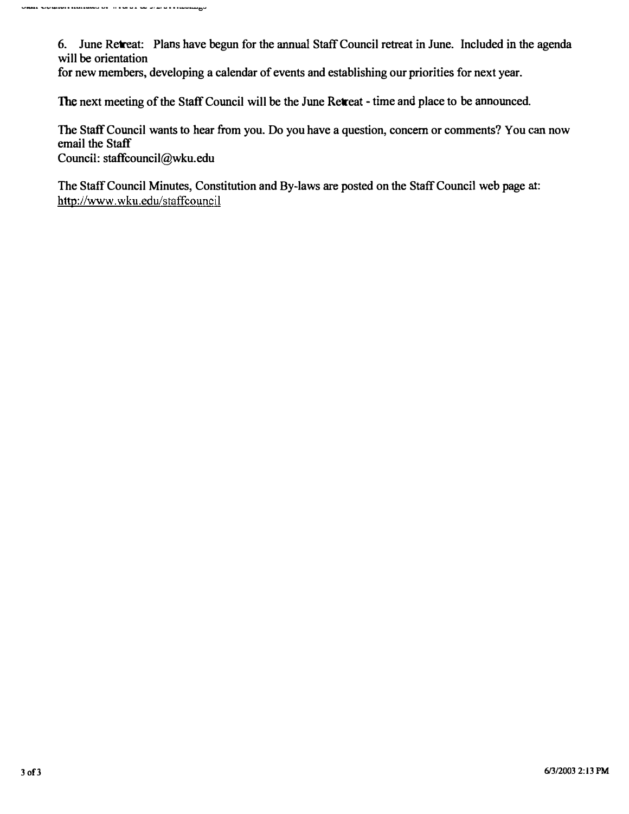6. June Retreat: Plans have begun for the annual Staff Council retreat in June. Included in the agenda will be orientation

for new members, developing a calendar of events and establishing our priorities for next year.

The next meeting of the Staff Council will be the June Retreat - time and place to be announced.

The Staff Council wants to hear from you. Do you have a question, concern or comments? You can now email the Staff

Council: staffcouncil@wku.edu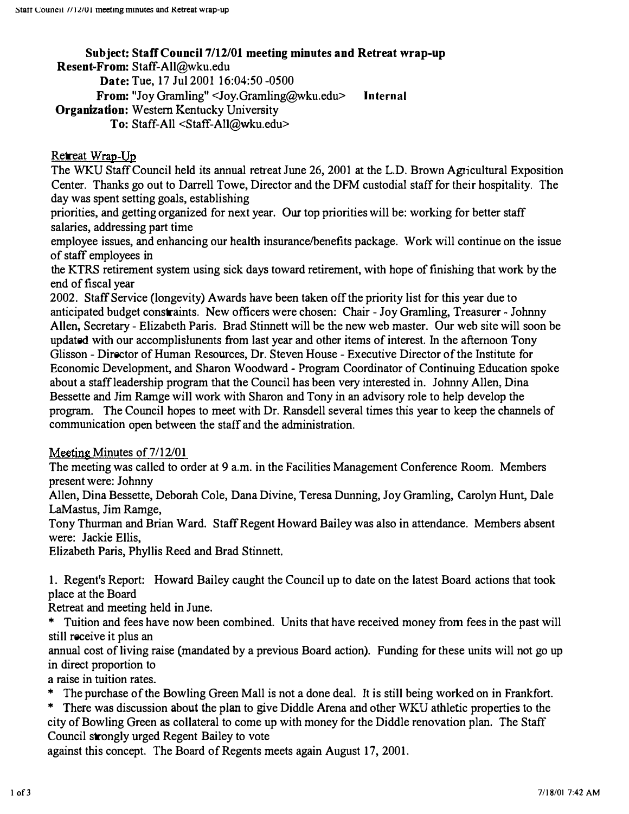# Subject: Staff Council 7/12/01 meeting minutes and Retreat wrap-up

Resent-From: Staff-All@wku.edu

Date: Tue, 17 Jul 2001 16:04:50 -0500

From: "Joy Gramling" <Joy.Gramling@wku.edu> Internal

Organization: Western Kentucky University

To: Staff-All <Staff-AlI@Wku.edu>

## Retreat Wrap-Up

The WKU Staff Council held its annual retreat June 26, 2001 at the L.D. Brown Agricultural Exposition Center. Thanks go out to Darrell Towe, Director and the DFM custodial staff for their hospitality. The day was spent setting goals, establishing

priorities, and getting organized for next year. Our top priorities will be: working for better staff salaries, addressing part time

employee issues, and enhancing our health insurance/benefits package. Work will continue on the issue of staff employees in

the KTRS retirement system using sick days toward retirement, with hope of finishing that work by the end of fiscal year

2002. Staff Service (longevity) Awards have been taken off the priority list for this year due to anticipated budget constraints. New officers were chosen: Chair - Joy Gramling, Treasurer - Johnny Allen, Secretary - Elizabeth Paris. Brad. Stinnett will be the new web master. Our web site will soon be updated with our accomplislunents from last year and other items of interest. In the afternoon Tony Glisson - Director of Human Resources, Dr. Steven House - Executive Director of the Institute for Economic Development, and Sharon Woodward - Program Coordinator of Continuing Education spoke about a staff leadership program that the Council has been very interested in. Johnny Allen, Dina Bessette and Jim Ramge will work with Sharon and Tony in an advisory role to help develop the program. The Council hopes to meet with Dr. Ransdell several times this year to keep the channels of communication open between the staff and the administration.

Meeting Minutes of  $7/12/01$ 

The meeting was called to order at 9 a.m. in the Facilities Management Conference Room. Members present were: Johnny

Allen, Dina Bessette, Deborah Cole, Dana Divine, Teresa Dunning, Joy Gramling, Carolyn Hunt, Dale LaMastus, Jim Ramge,

Tony Thurman and Brian Ward. Staff Regent Howard Bailey was also in attendance. Members absent were: Jackie Ellis,

Elizabeth Paris. Phyllis Reed and Brad Stinnett.

1. Regent's Report: Howard Bailey caught the Council up to date on the latest Board actions that took place at the Board

Retreat and meeting held in June.

\* Tuition and fees have now been combined. Units that have received money from fees in the past will still receive it plus an

annual cost of living raise (mandated by a previous Board action). Funding for these units will not go up in direct proportion to

a raise in tuition rates.

- \* The purchase of the Bowling Green Mall is not a done deal. It is still being worked on in Frankfort.
- \* There was discussion about the plan to give Diddle Arena and other WKU athletic properties to the city of Bowling Green as collateral to come up with money for the Diddle renovation plan. The Staff Council strongly urged Regent Bailey to vote

against this concept. The Board of Regents meets again August 17, 2001.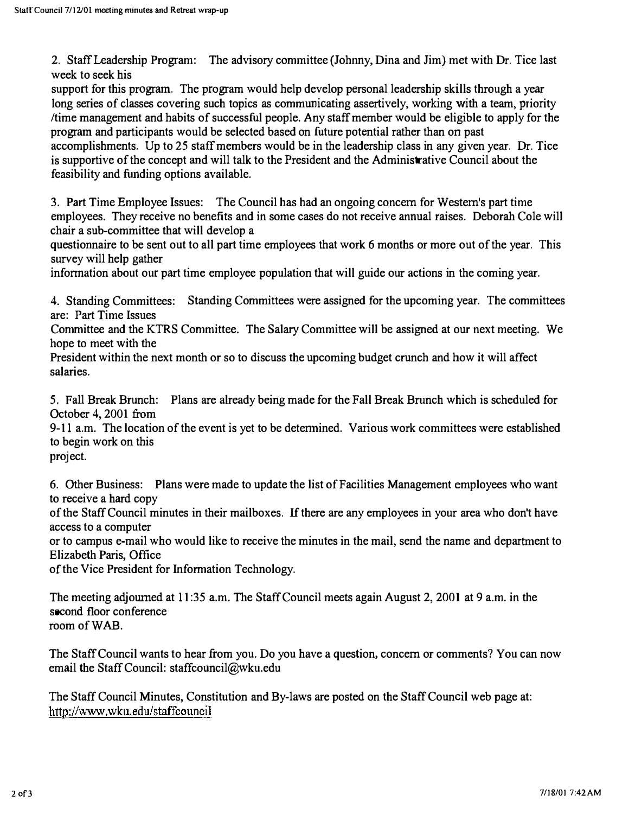2. Staff Leadership Program: The advisory committee (Johnny, Dina and Jim) met with Dr. Tice last week to seek his

support for this program. The program would help develop personal leadership skills through a year long series of classes covering such topics as communicating assertively, working with a team, priority Itime management and habits of successful people. Any staff member would be eligible to apply for the program and participants would be selected based on future potential rather than on past

accomplishments. Up to 25 staff members would be in the leadership class in any given year. Dr. Tice is supportive of the concept and will talk to the President and the Administrative Council about the feasibility and funding options available.

3. Part Time Employee Issues: The Council has had an ongoing concern for Western's part time employees. They receive no benefits and in some cases do not receive annual raises. Deborah Cole will chair a sub-committee that will develop a

questionnaire to be sent out to all part time employees that work 6 months or more out of the year. This survey will help gather

information about our part time employee population that will guide our actions in the coming year.

4. Standing Committees: Standing Committees were assigned for the upcoming year. The committees are: Part Time Issues

Committee and the KTRS Committee. The Salary Committee will be assigned at our next meeting. We hope to meet with the

President within the next month or so to discuss the upcoming budget crunch and how it will affect salaries.

5. Fall Break Brunch: Plans are already being made for the Fall Break Brunch which is scheduled for October 4, 2001 from

9-11 a.m. The location of the event is yet to be detennined. Various work committees were established to begin work on this project.

6. Other Business: Plans were made to update the list of Facilities Management employees who want to receive a hard copy

of the Staff Council minutes in their mailboxes. If there are any employees in your area who don't have access to a computer

or to campus e-mail who would like to receive the minutes in the mail, send the name and department to Elizabeth Paris, Office

of the Vice President for Information Technology.

The meeting adjourned at 11:35 a.m. The Staff Council meets again August 2, 2001 at 9 a.m. in the second floor conference room of WAB.

The Staff Council wants to hear from you. Do you have a question. concern or comments? You can now email the Staff Council: staffcouncil@wku.edu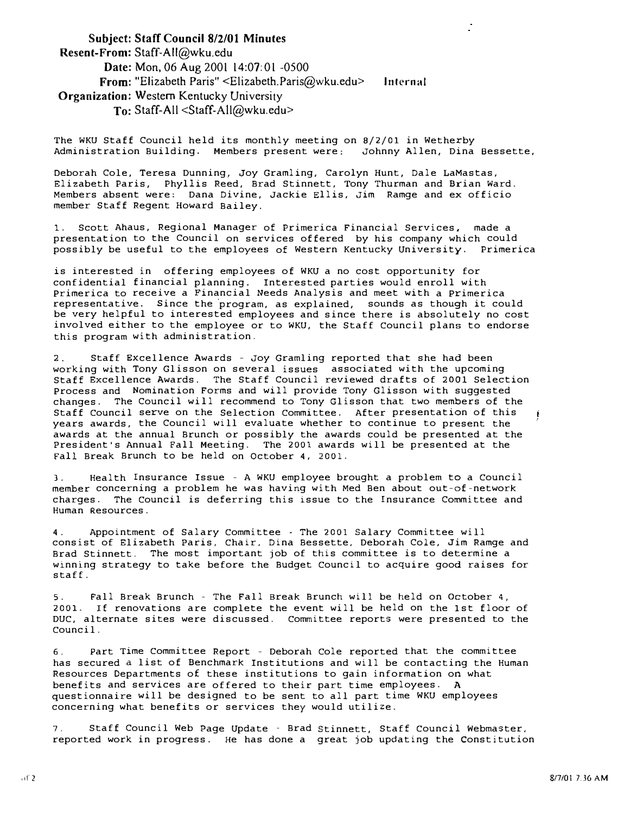#### Subject: Staff Council 8/2/01 Minutes Resent-From: Staff-AII@wku.edu Date: Mon, 06 Aug 2001 14:07:01 -0500 From: "Elizabeth Paris" <Elizabeth.Paris@wku.edu> Organization: Western Kentucky University To: Staff-All <Staff-All@wku.edu> Inlernal

The WKU Staff Council held its monthly meeting on 8/2/01 in Wetherby Administration Building. Members present were: Johnny Allen, Dina Bessette,

Deborah Cole, Teresa Dunning, Joy Gramling, Carolyn Hunt, Dale LaMastas, Elizabeth Paris, Phyllis Reed, Brad Stinnett, Tony Thurman and Brian Ward. Members absent were: Dana Divine, Jackie Ellis, Jim Ramge and ex officio member Staff Regent Howard Bailey.

1. Scott Abaus, Regional Manager of Primerica Financial Services. made a presentation to the Council on services offered by his company which could possibly be useful to the employees of Western Kentucky University. Primerica

is interested in offering employees of WKU a no cost opportunity for confidential financial planning. Interested parties would enroll with Primerica to receive a Financial Needs Analysis and meet with a Primerica representative. since the 'program, as explained, sounds as though it could be very helpful to interested employees and since there is absolutely no cost involved either to the employee or to WKU, the Staff Council plans to endorse this program with administration.

2. Staff Excellence Awards - Joy Gramling reported that she had been working with Tony Glisson on several issues associated with the upcoming Staff Excellence Awards. The Staff Council reviewed drafts of 2001 Selection Process and Nomination Forms and will provide Tony Glisson with suggested changes. The Council will recommend to Tony Glisson that two members of the Staff Council serve on the Selection Committee. After presentation of this years awards, the Council will evaluate whether to continue to present the awards at the annual Brunch or possibly the awards could be presented at the President's Annual Fall Meeting. The 2001 awards will be presented at the Fall Break Brunch to be held on October 4, 2001.

3. Health Insurance Issue - A WKU employee brought a problem to a Council member concerning a problem he was having with Med Ben about out-of-network charges. The Council is deferring this issue to the Insurance Committee and Human Resources.

4. Appointment of Salary Committee - The 2001 Salary Committee will consist of Elizabeth Paris, Chair, Dina Bessette, Deborah Cole, Jim Ramge and Brad Stinnett. The most important job of this committee is to determine a winning strategy to take before the Budget Council to acquire good raises for stafE.

5. �all Break Brunch - The Fall Break Brunch will be held 2001. IE renovations are complete the event will be held on DUC, alternate sites were discussed. Committee reports were presented to the Council. on October 4, the 1st floor of

6. Part Time Committee Report - Deborah Cole reported that the committee has secured a list of Benchmark Institutions and will be contacting the Human Resources Departments of these institutions to gain information on what benefits and services are offered to their part time employees. A questionnaire will be designed to be sent to all part time WKU employees concerning what benefits or services they would utilize.

7. Staff Council Web Page Update - Brad Stinnett, Staff Council Webmaster, reported work in progress. He has done a great job updating the constitution

ť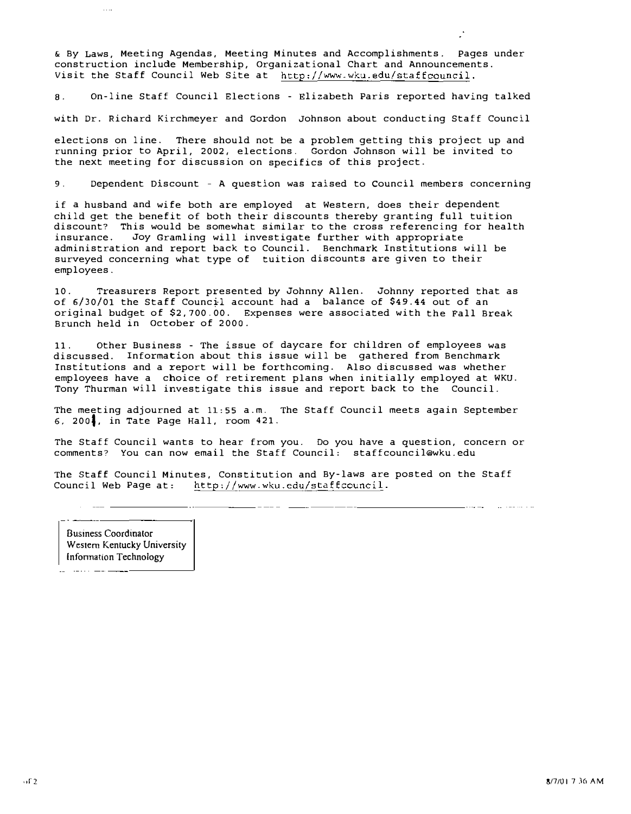& By Laws, Meeting Agendas, Meeting Minutes and Accomplishments. Pages under construction include Membership, Organizational Chart and Announcements. Visit the Staff Council Web Site at http://www.wku.edu/staffcouncil.

8. On-line Staff Council Elections - Elizabeth Paris reported having talked

with Dr. Richard Kirchmeyer and Gordon Johnson about conducting Staff Council

elections on line. There should not be a problem getting this project up and running prior to April, 2002, elections. Gordon Johnson will be invited to the next meeting for discussion on specifics of this project.

9. Dependent Discount - A question was raised to council members concerning

if a husband and wife both are employed at Western, does their dependent child get the benefit of both their discounts thereby granting full tuition discount? This would be somewhat similar to the cross referencing for health<br>insurance. Joy Gramling will investigate further with appropriate Joy Gramling will investigate further with appropriate administration and report back to Council. Benchmark Institutions will be surveyed concerning what type of tuition discounts are given to their employees.

10. Treasurers Report presented by Johnny Allen. Johnny reported that as of 6/30/01 the Staff Counc�l account had a balance of \$49.44 out of an original budget of \$2,700.00. Expenses were associated with the Fall Break Brunch held in October of 2000.

11. Other Business - The issue of daycare for children of employees was discussed. Information about this issue will be gathered from Benchmark Institutions and a report will be forthcoming. Also discussed was whether employees have a choice of retirement plans when initially employed at WKU. Tony Thurman will investigate this issue and report back to the Council.

The meeting adjourned at 11:55 a.m. The Staff Council meets again September 6, 200', in Tate Page Hall, room 421.

The Staff Council wants to hear from you. Do you have a question, concern or comments? You can now email the Staff Council: staffcouncil@wku.edu

The Staff Council Minutes, Constitution and By-laws are posted on the Staff Council Web Page at: http://www.wku.edu/staffcouncil.

Business Coordinator Western Kentucky University Information Technology

-"�-����-

 $\sim$  10  $-$  100  $-$ 

 $\sim$  .  $\sim$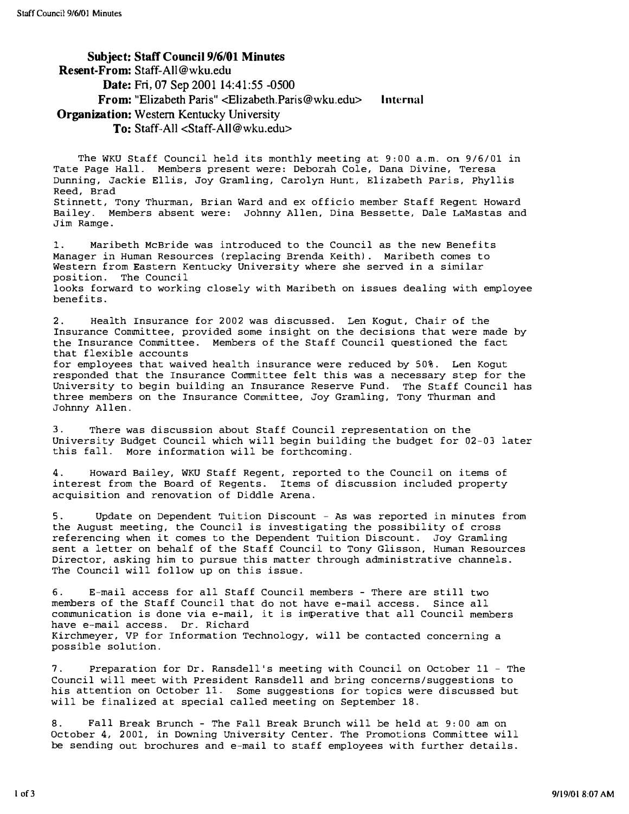Jim Ramge.

#### Subject: Staff Council 9/6/01 Minutes Resent-From: Staff-AlI@wku.edu Date: Fri, 07 Sep 2001 14:41:55 -0500 From: "Elizabeth Paris" <Elizabeth.Paris@wku.edu> Organization: Western Kentucky University To: Staff-All <Staff-AlI@wku.edu> Internal

The WKU Staff Council held its monthly meeting at 9: 00 a.m. on 9/6/01 in Tate Page Hall. Members present were: Deborah Cole, Dana Divine, Teresa Dunning, Jackie Ellis, Joy Gramling, Carolyn Hunt, Elizabeth Paris, Phyllis Reed, Brad Stinnett, Tony Thurman, Brian Ward and ex officio member Staff Regent Howard Bailey. Members absent were: Johnny Allen, Dina Bessette, Dale LaMastas and

1. Maribeth McBride was introduced to the Council as the new Benefits Manager in Human Resources (replacing Brenda Keith). Maribeth comes to Western from Eastern Kentucky University where she served in a similar position. The Council looks forward to working closely with Maribeth on issues dealing with employee

benefits.

2. Health Insurance for 2002 was discussed. Len Kogut, Chair of the Insurance Committee, provided some insight on the decisions that were made by the Insurance Committee. Members of the Staff Council questioned the fact that flexible accounts for employees that waived health insurance were reduced by 50%. Len Kogut

responded that the Insurance Committee felt this was a necessary step for the University to begin building an Insurance Reserve Fund. The Staff Council has three members on the Insurance Committee, Joy Gramling, Tony Thurman and Johnny Allen.

3. There was discussion about Staff Council representation on the University Budget Council which will begin building the budget for 02-03 later this fall. More information will be forthcoming.

4. Howard Bailey, WKU Staff Regent, reported to the Council on items of interest from the Board of Regents. Items of discussion included property acquisition and renovation of Diddle Arena.

5. Update on Dependent Tuition Discount - As was reported in minutes from the August meeting, the Council is investigating the possibility of cross referencing when it comes to the Dependent Tuition Discount. Joy Gramling sent a letter on behalf of the Staff Council to Tony Glisson, Human Resources Director, asking him to pursue this matter through administrative channels. The Council will follow up on this issue.

6. E-mail access for all Staff Council members - There are still two members of the Staff Council that do not have e-mail access. Since all communication is done via e-mail, it is imperative that all Council members have e-mail access. Dr. Richard Kirchmeyer, VP for Information Technology, will be contacted concerning a possible solution.

7. Preparation for Dr. Ransdell's meeting with Council on October 11 - The Council will meet with President Ransdell and bring concerns/suggestions to his attention on October 11. Some suggestions for topics were discussed but will be finalized at special called meeting on September 18.

8. Fall Break Brunch - The Fall Break Brunch will be held at 9: 00 am on October 4, 2001, in Downing University Center. The Promotions Committee will be sending out brochures and e-mail to staff employees with further details.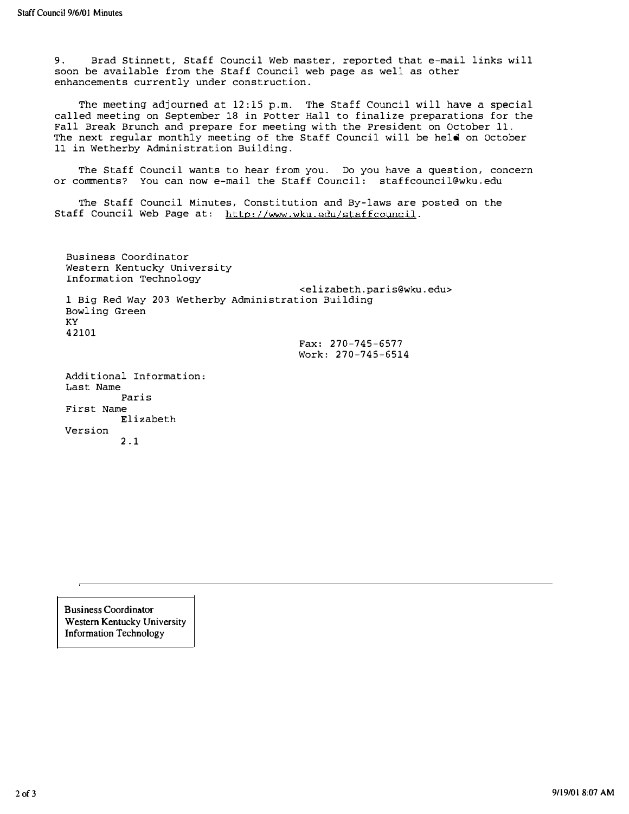9. Brad Stinnett, Staff Council Web master, reported that e-mail links will soon be available from the Staff Council web page as well as other enhancements currently under construction.

The meeting adjourned at 12:15 p.m. The Staff Council will have a special called meeting on September 18 in Potter Hall to finalize preparations for the Fall Break Brunch and prepare for meeting with the President on October 11. The next regular monthly meeting of the Staff Council will be held on October 11 in Wetherby Administration Building.

The Staff Council wants to hear from you. Do you have a question, concern or comments? You can now e-mail the Staff Council: staffcouncil@wku. edu

The Staff Council Minutes, Constitution and By-laws are posted on the Staff Council Web Page at: http://www.wku.edu/staffcouncil.

Business Coordinator Western Kentucky university Information Technology <elizabeth.paris@wku.edu> 1 Big Red Way 203 Wetherby Administration Building Bowling Green KY 42101 Additional Information: Fax: 270-745-6577 Work: 270-745-6514

Last Name Paris First Name Elizabeth Version 2.1

Business Coordinator Western Kentucky University Information Technology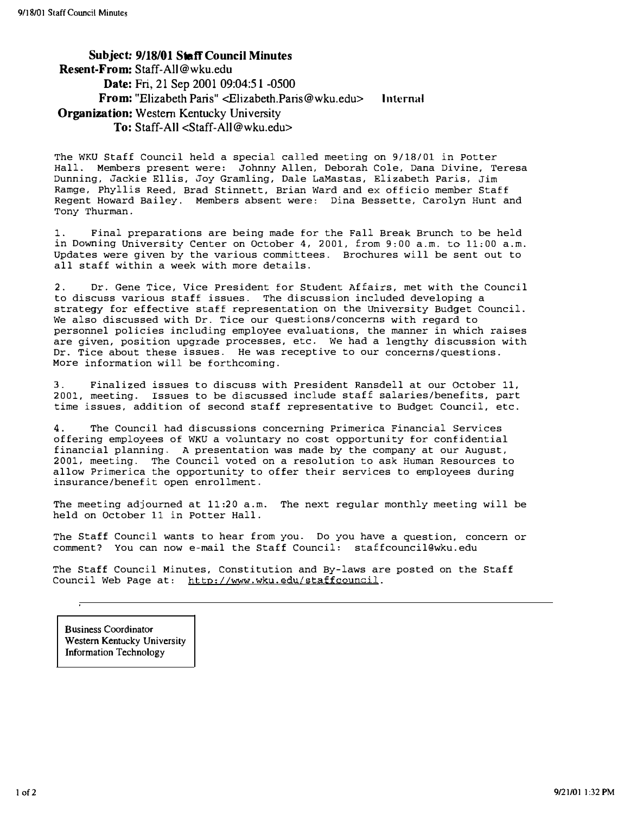Subject: 9118/01 Staff Council Minutes Resent·From: Staff·AlI@wku.edu Date: Fri, 21 Sep 2001 09:04:51 -0500 From: "Elizabeth Paris" <Elizabeth.Paris@wku.edu> Internal Organization: Western Kentucky University To: Staff-All <Staff·AlI@wku.edu>

The WKU Staff Council held a special called meeting on 9/18/01 in Potter Hall. Members present were: Johnny Allen, Deborah Cole, Dana Divine, Teresa Dunning, Jackie Ellis, Joy Gramling, Dale LaMastas, Elizabeth Paris, Jim Ramge, Phyllis Reed, Brad Stinnett, Brian Ward and ex officio member Staff Regent Howard Bailey. Members absent were: Dina Bessette, Carolyn Hunt and Tony Thurman.

1. Final preparations are being made for the Fall Break Brunch to be held in Downing University Center on October 4, 2001, from 9;00 a.m. to 11;00 a.m. updates were given by the various committees. Brochures will be sent out to all staff within a week with more details.

2. Dr. Gene Tice, Vice President for Student Affairs, met with the Council to discuss various staff issues. The discussion included developing a strategy for effective staff representation on the university Budget Council. We also discussed with Dr. Tice our questions/concerns with regard to personnel policies including employee evaluations, the manner in which raises are given, position upgrade processes, etc. We had a lengthy discussion with Dr. Tice about these issues. He was receptive to our concerns/questions. More information will be forthcoming.

Finalized issues to discuss with President Ransdell at our October 11, 2001, meeting. Issues to be discussed include staff salaries/benefits, part time issues, addition of second staff representative to Budget Council, etc.

4. The Council had discussions concerning Primerica Financial Services offering employees of WKU a voluntary no cost opportunity for confidential financial planning. A presentation was made by the company at our August, 2001, meeting. The Council voted on a resolution to ask Human Resources to allow Primerica the opportunity to offer their services to employees during insurance/benefit open enrollment.

The meeting adjourned at 11:20 a.m. The next regular monthly meeting will be held on October 11 in Potter Hall.

The Staff Council wants to hear from you. Do you have a question, concern or comment? You can now e-mail the Staff Council: staffcouncil@wku.edu

The Staff Council Minutes, Constitution and By-laws are posted on the Staff Council Web Page at: http://www.wku.edu/staffcouncil.

Business Coordinator Western Kentucky University Information Technology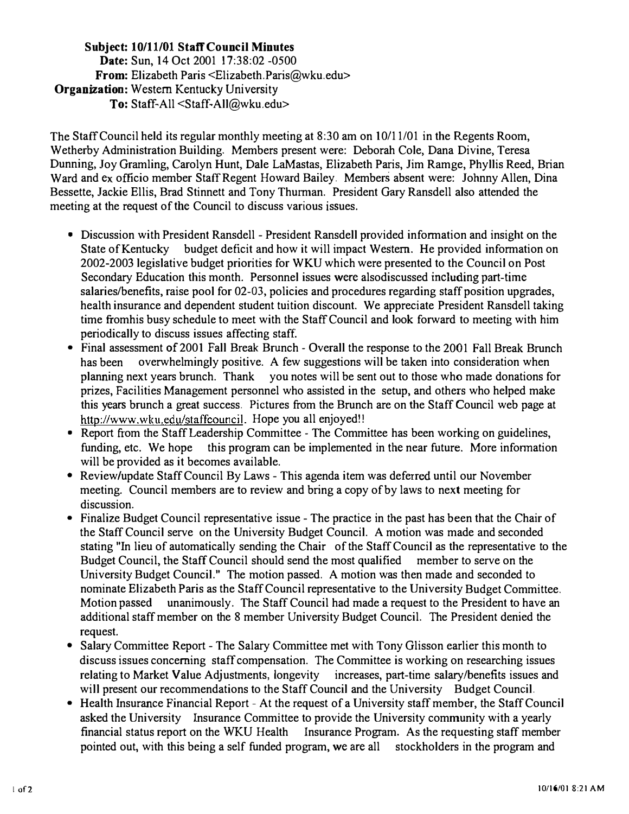## Subject: 10/11/01 Staff Council Minutes Date: Sun, 14 Oct 2001 17:38:02 -0500 From: Elizabeth Paris <Elizabeth.Paris@wku.edu> **Organization:** Western Kentucky University To: Staff-All <Staff-All@wku.edu>

The Staff Council held its regular monthly meeting at 8:30 am on 10/11/01 in the Regents Room, Wetherby Administration Building. Members present were: Deborah Cole, Dana Divine, Teresa Dunning, Joy Gramling, Carolyn Hunt, Dale LaMastas, Elizabeth Paris, Jim Ramge, Phyllis Reed, Brian Ward and ex officio member Staff Regent Howard Bailey. Members absent were: Johnny Allen, Dina Bessette, Jackie Ellis, Brad Stinnett and Tony Thurman. President Gary Ransdell also attended the meeting at the request of the Council to discuss various issues.

- Discussion with President Ransdell President Ransdell provided information and insight on the State of Kentucky budget deficit and how it will impact Western. He provided information on 2002-2003 legislative budget priorities for WKU which were presented to the Council on Post Secondary Education this month. Personnel issues were alsodiscussed including part-time salaries/benefits, raise pool for 02-03, policies and procedures regarding staff position upgrades, health insurance and dependent student tuition discount. We appreciate President Ransdell taking time fromhis busy schedule to meet with the Staff Council and look forward to meeting with him periodically to discuss issues affecting staff.
- Final assessment of 2001 Fall Break Brunch Overall the response to the 2001 Fall Break Brunch has been overwhelmingly positive. A few suggestions will be taken into consideration when planning next years brunch. Thank you notes will be sent out to those who made donations for prizes, Facilities Management personnel who assisted in the setup, and others who helped make this years brunch a great success. Pictures from the Brunch are on the Staff Council web page at http://www.wku.edu/staffcouncil. Hope you all enjoyed!!
- Report from the Staff Leadership Committee The Committee has been working on guidelines, funding, etc. We hope this program can be implemented in the near future. More infonnation will be provided as it becomes available.
- Review/update Staff Council By Laws This agenda item was deferred until our November meeting. Council members are to review and bring a copy of by laws to next meeting for discussion.
- Finalize Budget Council representative issue The practice in the past has been that the Chair of the Staff Council serve on the University Budget Council. A motion was made and seconded stating "In lieu of automatically sending the Chair of the Staff Council as the representative to the Budget Council, the Staff Council should send the most qualified member to serve on the University Budget Council." The motion passed. A motion was then made and seconded to nominate Elizabeth Paris as the Staff Council representative to the University Budget Committee. Motion passed unanimously. The Staff Council had made a request to the President to have an additional staff member on the 8 member University Budget Council. The President denied the request.
- Salary Committee Report The Salary Committee met with Tony Glisson earlier this month to discuss issues concerning staff compensation. The Committee is working on researching issues relating to Market Value Adjustments, longevity increases, part-time salarylbenefits issues and will present our recommendations to the Staff Council and the University Budget Council.
- Health Insurance Financial Report At the request of a University staff member, the Staff Council asked the University Insurance Committee to provide the University community with a yearly financial status report on the WKU Health Insurance Program. As the requesting staff member pointed out, with this being a self funded program, we are all stockholders in the program and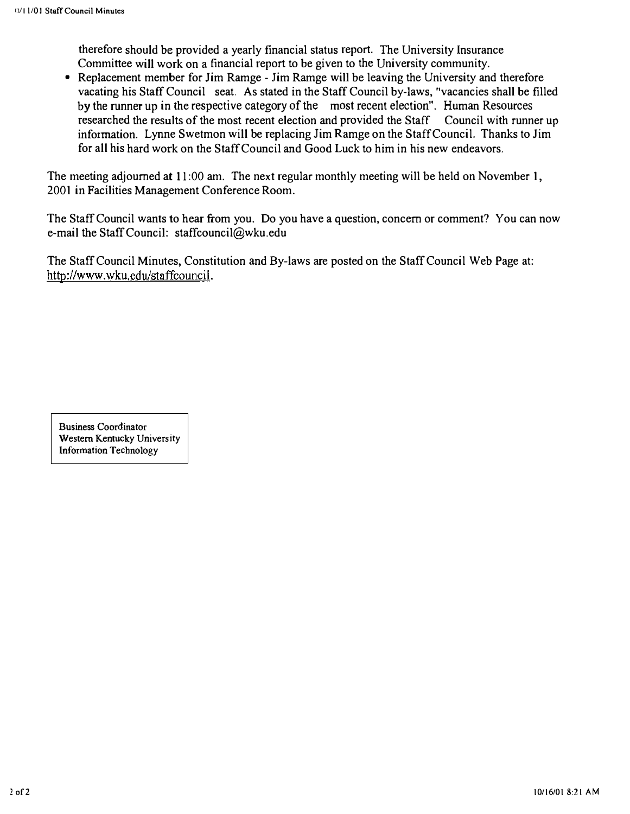therefore should be provided a yearly financial status report. The University Insurance Committee will work on a financial report to be given to the University community .

• Replacement member for Jim Ramge - Jim Ramge will be leaving the University and therefore vacating his Staff Council seat. As stated in the Staff Council by-laws, "vacancies shall be filled by the runner up in the respective category of the most recent election". Human Resources researched the results of the most recent election and provided the Staff Council with runner up information. Lynne Swetmon will he replacing Jim Ramge on the Staff Council. Thanks to Jim for all his hard work on the Staff Council and Good Luck to him in his new endeavors.

The meeting adjourned at 11:00 am. The next regular monthly meeting will be held on November 1, 2001 in Facilities Management Conference Room.

The Staff Council wants to hear from you. Do you have a question, concern or comment? You can now e-mail the Staff Council: staffcouncil@wku.edu

The Staff Council Minutes, Constitution and By-laws are posted on the Staff Council Web Page at: http://www.wku.edu/staffcouncil.

Business Coordinator Western Kentucky University Information TeChnology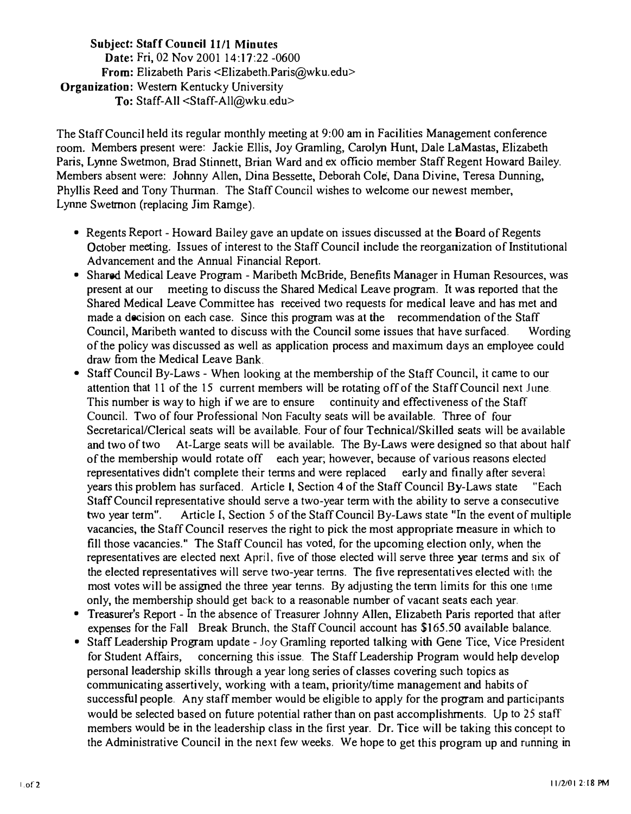## Subject: Staff Council 11/1 Minutes Date: Fri, 02 Nov 2001 14:17:22 -0600 From: Elizabeth Paris <Elizabeth.Paris@wku.edu> Organization: Western Kentucky University To: Staff-All <Staff-All@wku.edu>

The Staff Council held its regular monthly meeting at 9:00 am in Facilities Management conference room. Members present were: Jackie Ellis, Joy Gramling, Carolyn Hunt, Dale LaMastas, Elizabeth Paris, Lynne Swetmon, Brad Stinnett, Brian Ward and ex officio member Staff Regent Howard Bailey. Members absent were: Johnny Allen, Dina Bessette, Deborah Cole', Dana Divine, Teresa Dunning, Phyllis Reed and Tony Thunnan. The Staff Council wishes to welcome our newest member, Lynne Swetmon (replacing Jim Ramge).

- Regents Report Howard Bailey gave an update on issues discussed at the Board of Regents October meeting. Issues of interest to the Staff Council include the reorganization of Institutional Advancement and the Annual Financial Report.
- Shared Medical Leave Program Maribeth McBride, Benefits Manager in Human Resources, was present at our meeting to discuss the Shared Medical Leave program. It was reported that the Shared Medical Leave Committee has received two requests for medical leave and has met and made a decision on each case. Since this program was at the recommendation of the Staff Council, Maribeth wanted to discuss with the Council some issues that have surfaced. Wording of the policy was discussed as well as application process and maximum days an employee could draw from the Medical Leave Bank.
- Staff Council By-Laws When looking at the membership of the Staff Council, it came to our attention that 11 of the 15 current members will be rotating off of the Staff Council next June. This number is way to high if we are to ensure continuity and effectiveness of the Staff Council. Two of four Professional Non Faculty seals will be available. Three of four Secretarical/Clerical seats will be available. Four of four Technical/Skilled seats will be available and two of two At-Large seats will be available. The By-Laws were designed so that about half of the membership would rotate off each year; however, because of various reasons elected representatives didn't complete their tenns and were replaced early and finally after several years this problem has surfaced. Article I, Section 4 of the Staff Council By-Laws state "Each Staff Council representative should serve a two-year term with the ability to serve a consecutive two year term". Article I, Section 5 of the Staff Council By-Laws state "In the event of multiple vacancies, the Staff Council reserves the right to pick the most appropriate measure in which to fill those vacancies." The Staff Council has voted, for the upcoming election only, when the representatives are elected next April, five of those elected will serve three year terms and six of the elected representatives will serve two-year tenns. The five representatives elected with the most votes will be assigned the three year tenns. By adjusting the tenn limits for this one !1me only, the membership should get back to a reasonable number of vacant seats each year.
- Treasurer's Report In the absence of Treasurer Johnny Allen, Elizabeth Paris reported that after expenses for the Fall Break Brunch, the Staff Council account has \$165.50 available balance.
- Staff Leadership Program update Joy Gramling reported talking with Gene Tice, Vice President for Student Affairs, concerning this issue. The Staff Leadership Program would help develop personal leadership skills through a year long series of classes covering such topics as communicating assertively, working with a team, priority/time management and habits of successful people. Any staff member would be eligible to apply for the program and participants would be selected based on future potential rather than on past accomplishments. Up to 25 staff members would be in the leadership class in the first year. Dr. Tice will be taking this concept to the Administrative Council in the next few weeks. We hope to get this program up and running in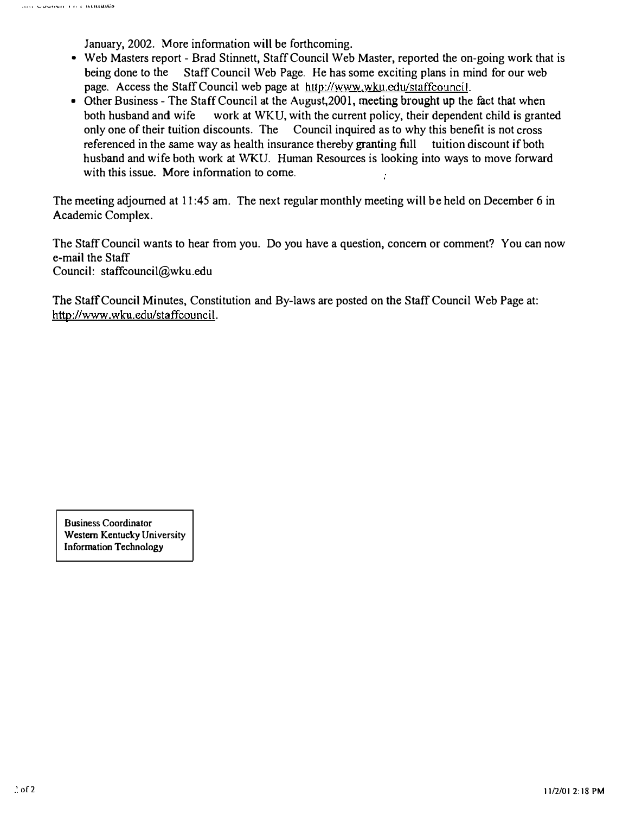January, 2002. More information will be forthcoming.

- Web Masters report Brad Stinnett, Staff Council Web Master, reported the on-going work that is being done to the Staff Council Web Page. He has some exciting plans in mind for our web page. Access the Staff Council web page at http://www.wku.edu/staffcouncil.
- Other Business The Staff Council at the August, 2001, meeting brought up the fact that when both husband and wife work at WKU, with the current policy, their dependent child is granted only one of their tuition discounts. The Council inquired as to why this benefit is not cross referenced in the same way as health insurance thereby granting full tuition discount if both husband and wife both work at WKU. Human Resources is looking into ways to move forward with this issue. More information to come.

The meeting adjourned at 11 :45 am. The next regular monthly meeting will be held on December 6 in Academic Complex.

The Staff Council wants to hear from you. Do you have a question, concern or comment? You can now e-mail the Staff Council: staffcouncil@wku.edu

The Staff Council Minutes, Constitution and By-laws are posted on the Staff Council Web Page at: http://www.wku.edu/staffcouncil.

Business Coordinator Western Kentucky University Information Technology